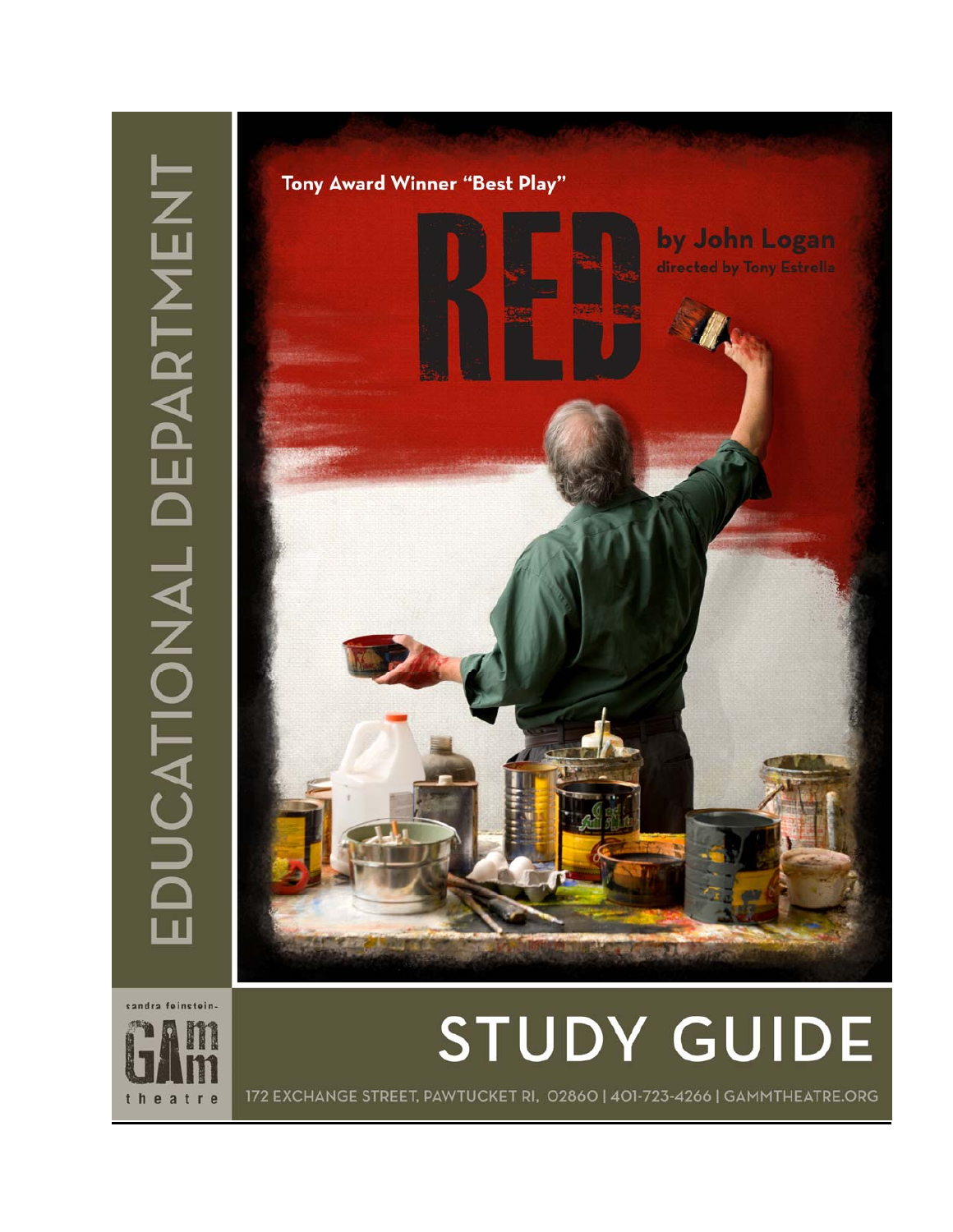

sandra feinstein-



# **STUDY GUIDE**

172 EXCHANGE STREET, PAWTUCKET RI, 02860 | 401-723-4266 | GAMMTHEATRE.ORG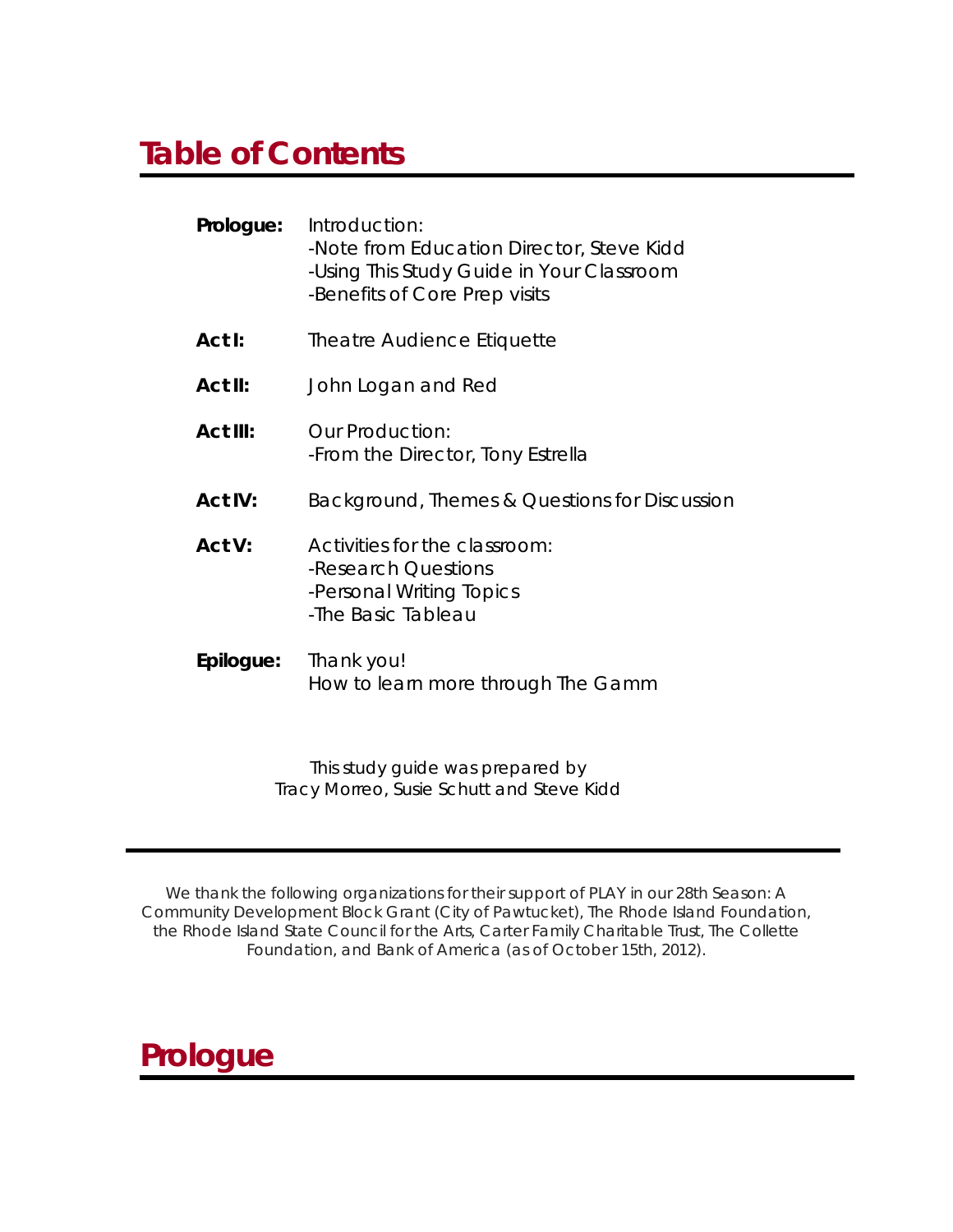### **Table of Contents**

| Prologue:       | Introduction:<br>-Note from Education Director, Steve Kidd<br>-Using This Study Guide in Your Classroom<br>-Benefits of Core Prep visits |
|-----------------|------------------------------------------------------------------------------------------------------------------------------------------|
| Act I:          | Theatre Audience Etiquette                                                                                                               |
| Act II:         | John Logan and Red                                                                                                                       |
| <b>Act III:</b> | Our Production:<br><i>-From the Director</i> , Tony Estrella                                                                             |
| <b>Act IV:</b>  | Background, Themes & Questions for Discussion                                                                                            |
| Act V:          | Activities for the classroom:<br>-Research Questions<br>-Personal Writing Topics<br>-The Basic Tableau                                   |
| Epilogue:       | Thank you!<br>How to learn more through The Gamm                                                                                         |

*This study guide was prepared by Tracy Morreo, Susie Schutt and Steve Kidd* 

*We thank the following organizations for their support of PLAY in our 28th Season: A Community Development Block Grant (City of Pawtucket), The Rhode Island Foundation, the Rhode Island State Council for the Arts, Carter Family Charitable Trust, The Collette Foundation, and Bank of America (as of October 15th, 2012).* 

### **Prologue**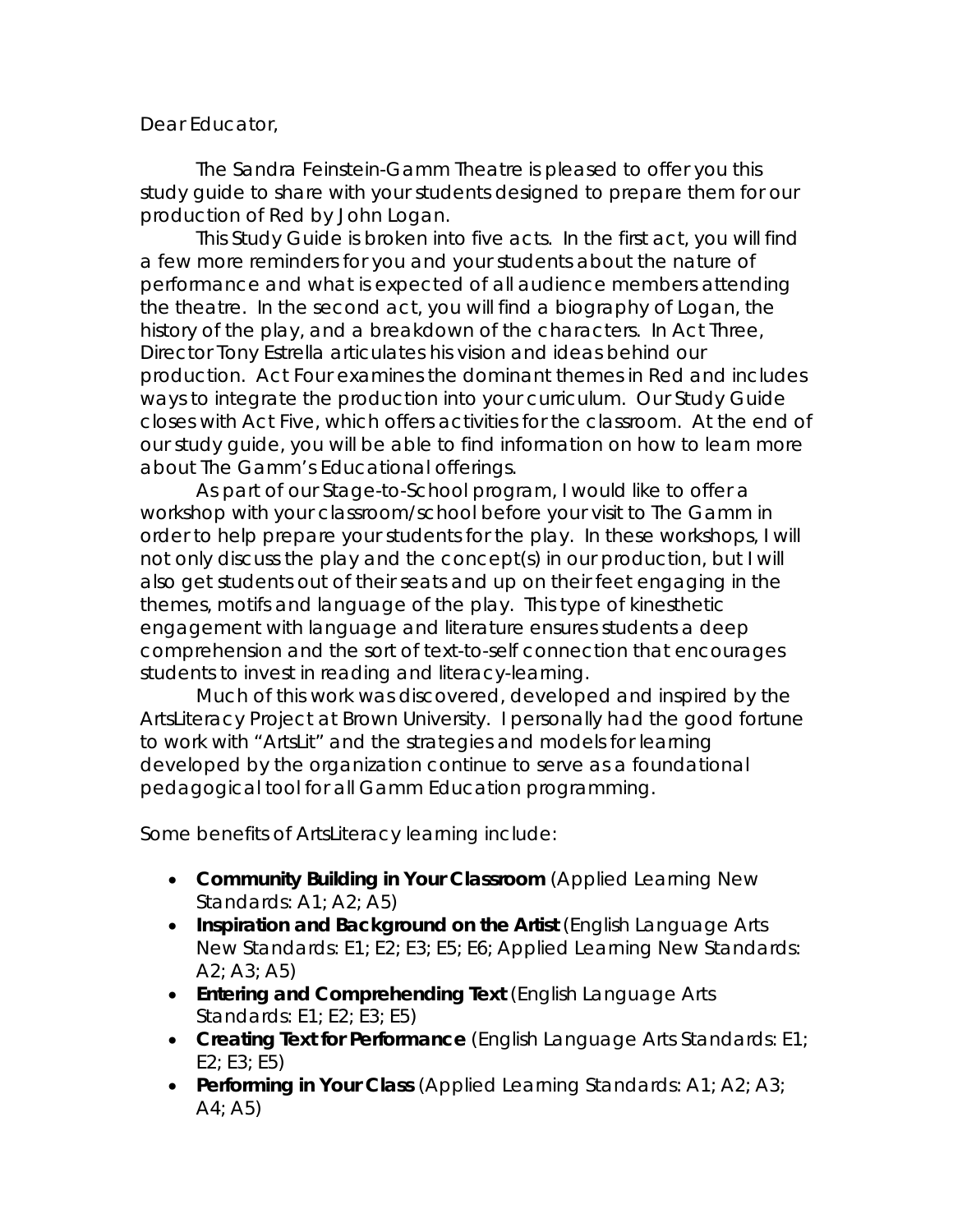### Dear Educator,

The Sandra Feinstein-Gamm Theatre is pleased to offer you this study guide to share with your students designed to prepare them for our production of *Red* by John Logan.

This Study Guide is broken into five acts. In the first act, you will find a few more reminders for you and your students about the nature of performance and what is expected of all audience members attending the theatre. In the second act, you will find a biography of Logan, the history of the play, and a breakdown of the characters. In Act Three, Director Tony Estrella articulates his vision and ideas behind our production. Act Four examines the dominant themes in *Red* and includes ways to integrate the production into your curriculum. Our Study Guide closes with Act Five, which offers activities for the classroom. At the end of our study guide, you will be able to find information on how to learn more about The Gamm's Educational offerings.

As part of our Stage-to-School program, I would like to offer a workshop with your classroom/school before your visit to The Gamm in order to help prepare your students for the play. In these workshops, I will not only discuss the play and the concept(s) in our production, but I will also get students out of their seats and up on their feet engaging in the themes, motifs and language of the play. This type of kinesthetic engagement with language and literature ensures students a deep comprehension and the sort of text-to-self connection that encourages students to invest in reading and literacy-learning.

Much of this work was discovered, developed and inspired by the ArtsLiteracy Project at Brown University. I personally had the good fortune to work with "ArtsLit" and the strategies and models for learning developed by the organization continue to serve as a foundational pedagogical tool for all Gamm Education programming.

Some benefits of ArtsLiteracy learning include:

- **Community Building in Your Classroom** (Applied Learning New Standards: A1; A2; A5)
- **Inspiration and Background on the Artist** (English Language Arts New Standards: E1; E2; E3; E5; E6; Applied Learning New Standards:  $A2; A3; A5$
- **Entering and Comprehending Text** (English Language Arts Standards: E1; E2; E3; E5)
- **Creating Text for Performance** (English Language Arts Standards: E1;  $E2: E3: E5$
- **Performing in Your Class** (Applied Learning Standards: A1; A2; A3;  $A_1$ ; A5)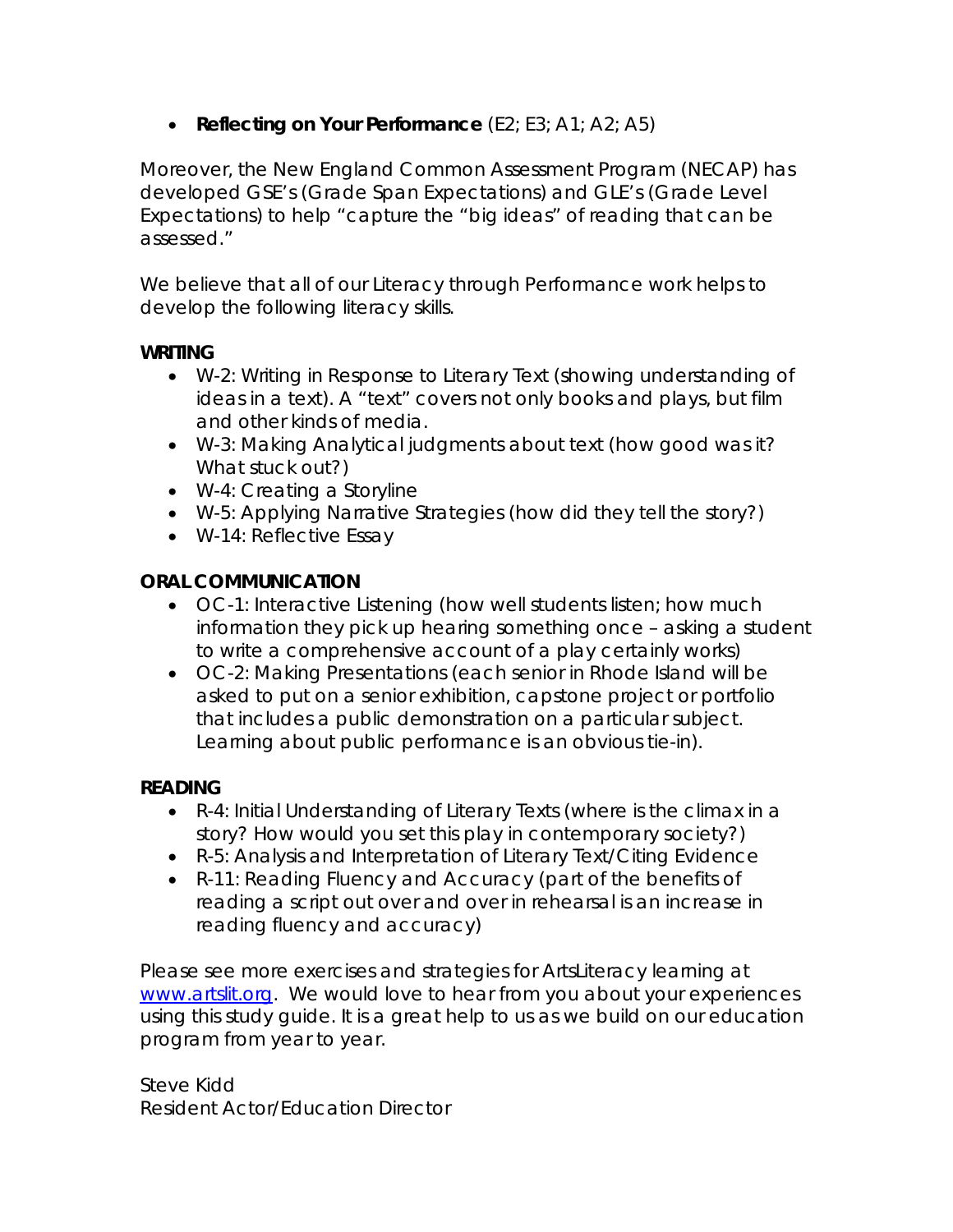• **Reflecting on Your Performance** (E2; E3; A1; A2; A5)

Moreover, the New England Common Assessment Program (NECAP) has developed GSE's (Grade Span Expectations) and GLE's (Grade Level Expectations) to help "capture the "big ideas" of reading that can be assessed."

We believe that all of our Literacy through Performance work helps to develop the following literacy skills.

### **WRITING**

- W-2: Writing in Response to Literary Text (showing understanding of ideas in a text). A "text" covers not only books and plays, but film and other kinds of media.
- W-3: Making Analytical judgments about text (how good was it? What stuck out?)
- W-4: Creating a Storyline
- W-5: Applying Narrative Strategies (how did they tell the story?)
- W-14: Reflective Essay

### **ORAL COMMUNICATION**

- OC-1: Interactive Listening (how well students listen; how much information they pick up hearing something once – asking a student to write a comprehensive account of a play certainly works)
- OC-2: Making Presentations (each senior in Rhode Island will be asked to put on a senior exhibition, capstone project or portfolio that includes a public demonstration on a particular subject. Learning about public performance is an obvious tie-in).

### **READING**

- R-4: Initial Understanding of Literary Texts (where is the climax in a story? How would you set this play in contemporary society?)
- R-5: Analysis and Interpretation of Literary Text/Citing Evidence
- R-11: Reading Fluency and Accuracy (part of the benefits of reading a script out over and over in rehearsal is an increase in reading fluency and accuracy)

Please see more exercises and strategies for ArtsLiteracy learning at www.artslit.org. We would love to hear from you about your experiences using this study guide. It is a great help to us as we build on our education program from year to year.

Steve Kidd Resident Actor/Education Director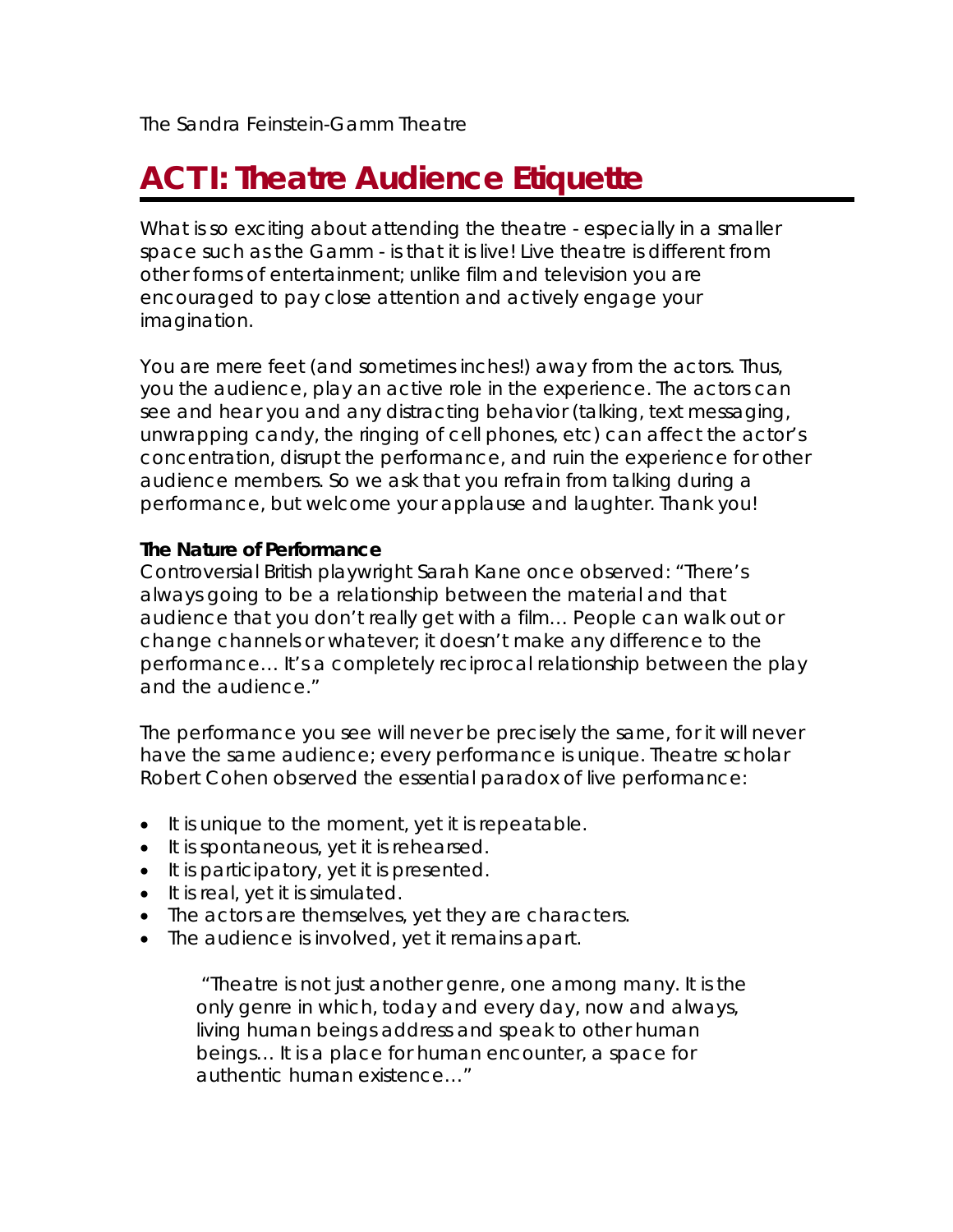# **ACT I: Theatre Audience Etiquette**

What is so exciting about attending the theatre - especially in a smaller space such as the Gamm - is that it is live! Live theatre is different from other forms of entertainment; unlike film and television you are encouraged to pay close attention and actively engage your imagination.

You are mere feet (and sometimes inches!) away from the actors. Thus, you the audience, play an active role in the experience. The actors can see and hear you and any distracting behavior (talking, text messaging, unwrapping candy, the ringing of cell phones, etc) can affect the actor's concentration, disrupt the performance, and ruin the experience for other audience members. So we ask that you refrain from talking during a performance, but welcome your applause and laughter. Thank you!

### **The Nature of Performance**

Controversial British playwright Sarah Kane once observed: "There's always going to be a relationship between the material and that audience that you don't really get with a film… People can walk out or change channels or whatever; it doesn't make any difference to the performance… It's a completely reciprocal relationship between the play and the audience."

The performance you see will never be precisely the same, for it will never have the same audience; every performance is unique. Theatre scholar Robert Cohen observed the essential paradox of live performance:

- It is unique to the moment, yet it is repeatable.
- It is spontaneous, yet it is rehearsed.
- It is participatory, yet it is presented.
- It is real, yet it is simulated.
- The actors are themselves, yet they are characters.
- The audience is involved, yet it remains apart.

 "Theatre is not just another genre, one among many. It is the only genre in which, today and every day, now and always, living human beings address and speak to other human beings… It is a place for human encounter, a space for authentic human existence…"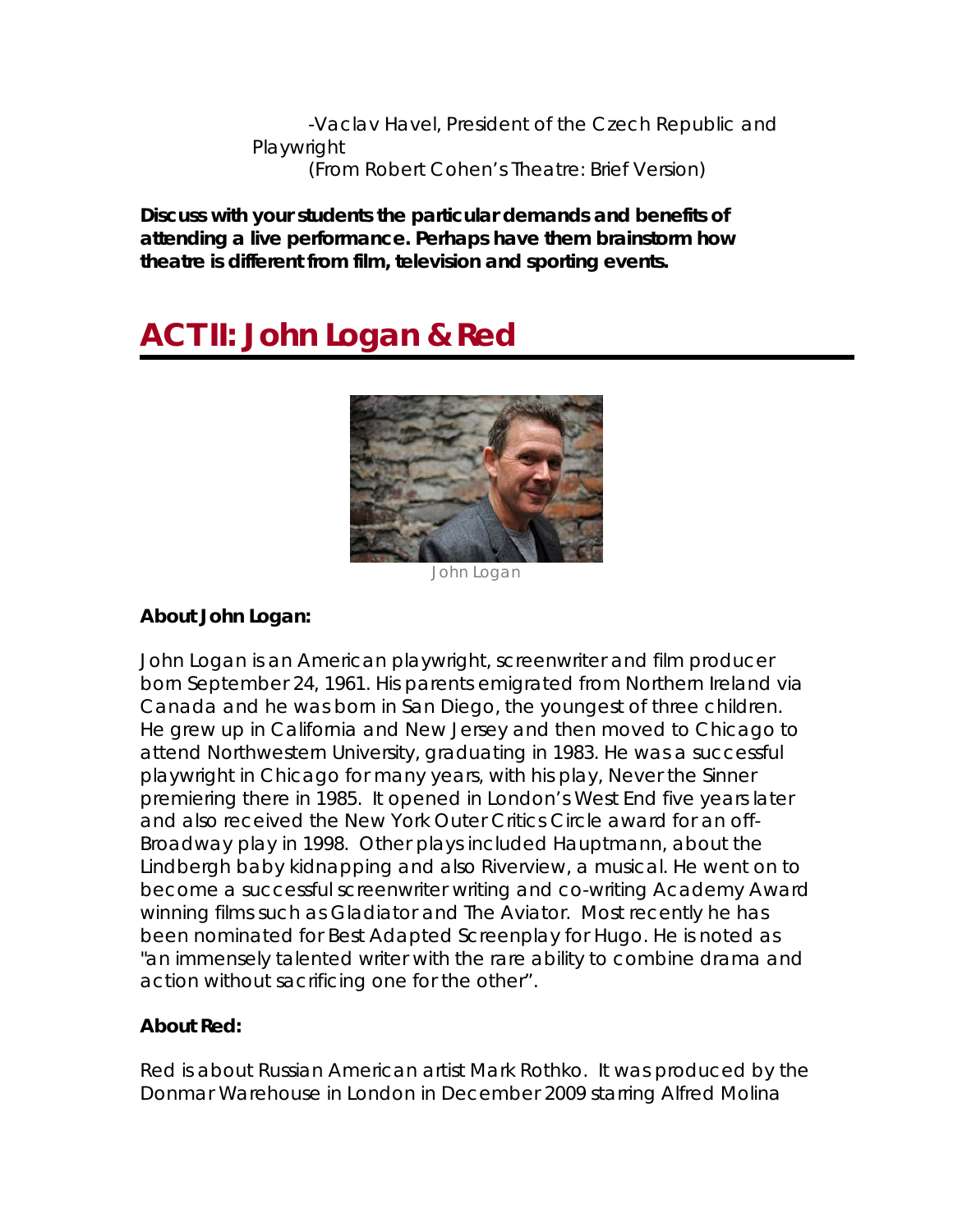-Vaclav Havel, President of the Czech Republic and **Playwright** (From Robert Cohen's *Theatre: Brief Version*)

**Discuss with your students the particular demands and benefits of attending a live performance. Perhaps have them brainstorm how theatre is different from film, television and sporting events.** 

# **ACT II: John Logan &** *Red*



*John Logan* 

### **About John Logan:**

John Logan is an American playwright, screenwriter and film producer born September 24, 1961. His parents emigrated from Northern Ireland via Canada and he was born in San Diego, the youngest of three children. He grew up in California and New Jersey and then moved to Chicago to attend Northwestern University, graduating in 1983. He was a successful playwright in Chicago for many years, with his play, *Never the Sinner*  premiering there in 1985. It opened in London's West End five years later and also received the New York Outer Critics Circle award for an off-Broadway play in 1998. Other plays included *Hauptmann,* about the Lindbergh baby kidnapping and also *Riverview*, a musical. He went on to become a successful screenwriter writing and co-writing Academy Award winning films such as *Gladiator* and *The Aviator*. Most recently he has been nominated for Best Adapted Screenplay for *Hugo*. He is noted as "an immensely talented writer with the rare ability to combine drama and action without sacrificing one for the other".

### **About** *Red***:**

*Red* is about Russian American artist Mark Rothko. It was produced by the Donmar Warehouse in London in December 2009 starring Alfred Molina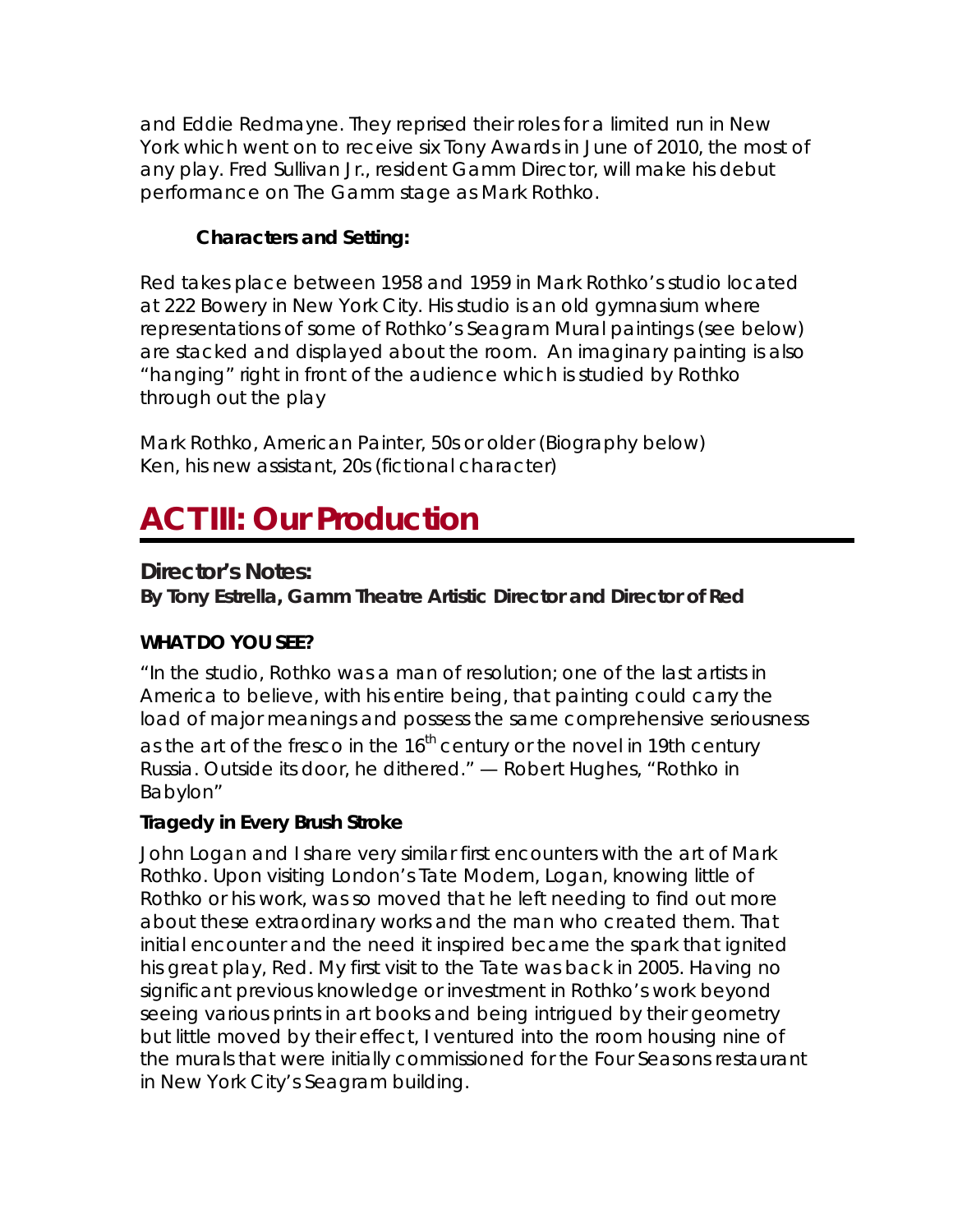and Eddie Redmayne. They reprised their roles for a limited run in New York which went on to receive six Tony Awards in June of 2010, the most of any play. Fred Sullivan Jr., resident Gamm Director, will make his debut performance on The Gamm stage as Mark Rothko.

### **Characters and Setting:**

Red takes place between 1958 and 1959 in Mark Rothko's studio located at 222 Bowery in New York City. His studio is an old gymnasium where representations of some of Rothko's Seagram Mural paintings (see below) are stacked and displayed about the room. An imaginary painting is also "hanging" right in front of the audience which is studied by Rothko through out the play

*Mark Rothko*, American Painter, 50s or older (Biography below) *Ken*, his new assistant, 20s (fictional character)

### **ACT III: Our Production**

### **Director's Notes:**

**By Tony Estrella,** *Gamm Theatre Artistic Director and Director of* **Red** 

### **WHAT DO YOU SEE?**

"In the studio, Rothko was a man of resolution; one of the last artists in America to believe, with his entire being, that painting could carry the load of major meanings and possess the same comprehensive *seriousness*  as the art of the fresco in the  $16<sup>th</sup>$  century or the novel in 19th century Russia. Outside its door, he dithered." — Robert Hughes, "Rothko in Babylon"

### **Tragedy in Every Brush Stroke**

John Logan and I share very similar first encounters with the art of Mark Rothko. Upon visiting London's Tate Modern, Logan, knowing little of Rothko or his work, was so moved that he left needing to find out more about these extraordinary works and the man who created them. That initial encounter and the need it inspired became the spark that ignited his great play, *Red*. My first visit to the Tate was back in 2005. Having no significant previous knowledge or investment in Rothko's work beyond seeing various prints in art books and being intrigued by their geometry but little moved by their effect, I ventured into the room housing nine of the murals that were initially commissioned for the Four Seasons restaurant in New York City's Seagram building.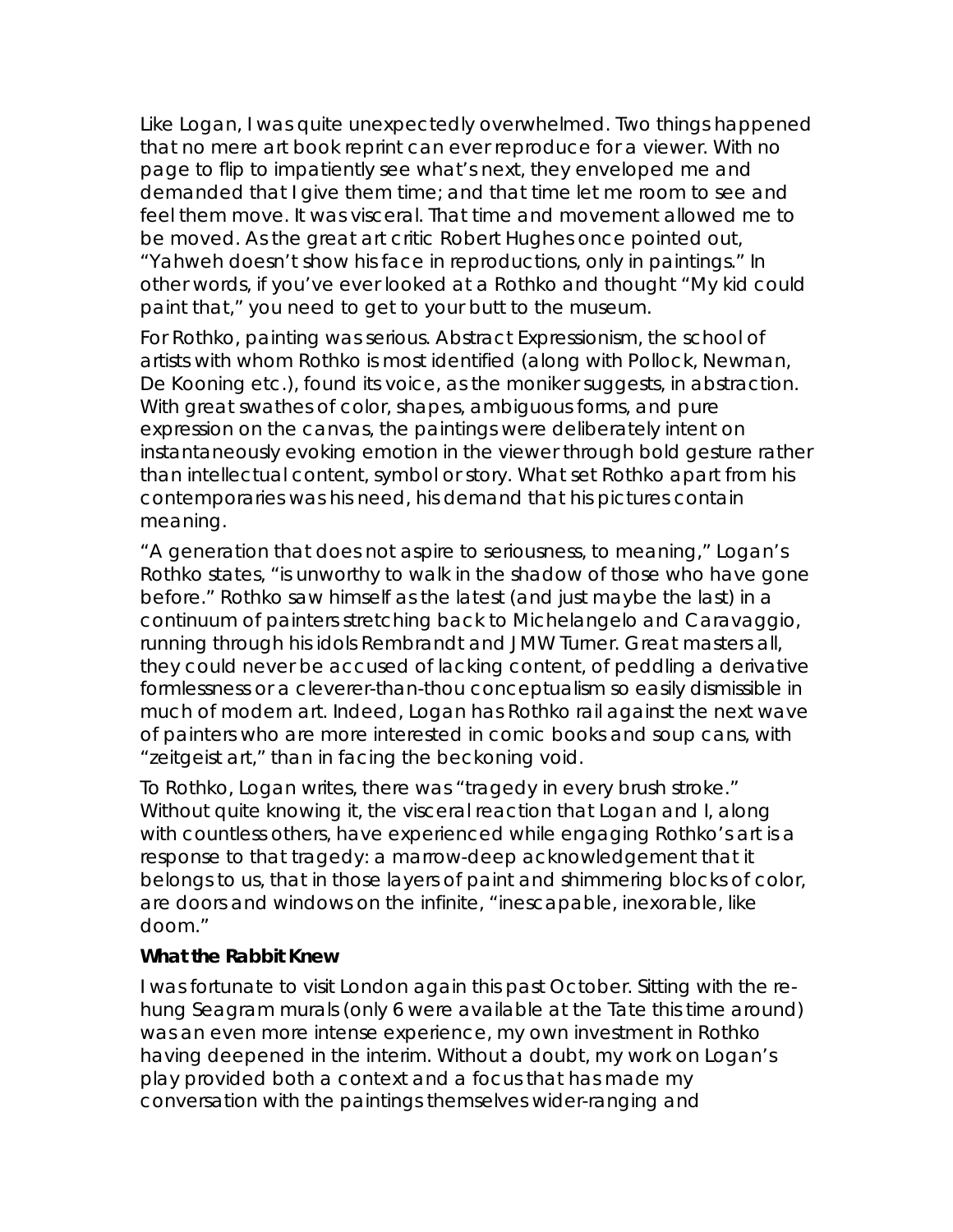Like Logan, I was quite unexpectedly overwhelmed. Two things happened that no mere art book reprint can ever reproduce for a viewer. With no page to flip to impatiently see what's next, they enveloped me and demanded that I give them *time*; and that time let me room to see and feel them *move*. It was visceral. That *time* and *movement* allowed me to *be moved*. As the great art critic Robert Hughes once pointed out, "Yahweh doesn't show his face in reproductions, only in paintings." In other words, if you've ever looked at a Rothko and thought "My kid could paint that," you need to get to your butt to the museum.

For Rothko, painting was *serious*. Abstract Expressionism, the school of artists with whom Rothko is most identified (along with Pollock, Newman, De Kooning etc.), found its voice, as the moniker suggests, in abstraction. With great swathes of color, shapes, ambiguous forms, and pure expression on the canvas, the paintings were deliberately intent on instantaneously evoking emotion in the viewer through bold gesture rather than intellectual content, symbol or story. What set Rothko apart from his contemporaries was his need, his demand that his pictures contain *meaning*.

"A generation that does not aspire to seriousness, to meaning," Logan's Rothko states, "is unworthy to walk in the shadow of those who have gone before." Rothko saw himself as the latest (and just maybe the last) in a continuum of painters stretching back to Michelangelo and Caravaggio, running through his idols Rembrandt and JMW Turner. Great masters all, they could never be accused of lacking content, of peddling a derivative formlessness or a cleverer-than-thou conceptualism so easily dismissible in much of modern art. Indeed, Logan has Rothko rail against the next wave of painters who are more interested in comic books and soup cans, with "zeitgeist art," than in facing the beckoning void.

To Rothko, Logan writes, there was "tragedy in every brush stroke." Without quite knowing it, the visceral reaction that Logan and I, along with countless others, have experienced while engaging Rothko's art is a response to that tragedy: a marrow-deep acknowledgement that it belongs to us, that in those layers of paint and shimmering blocks of color, are doors and windows on the infinite, "inescapable, inexorable, like doom."

### **What the Rabbit Knew**

I was fortunate to visit London again this past October. Sitting with the rehung Seagram murals (only 6 were available at the Tate this time around) was an even more intense experience, my own investment in Rothko having deepened in the interim. Without a doubt, my work on Logan's play provided both a context and a focus that has made my conversation with the paintings themselves wider-ranging and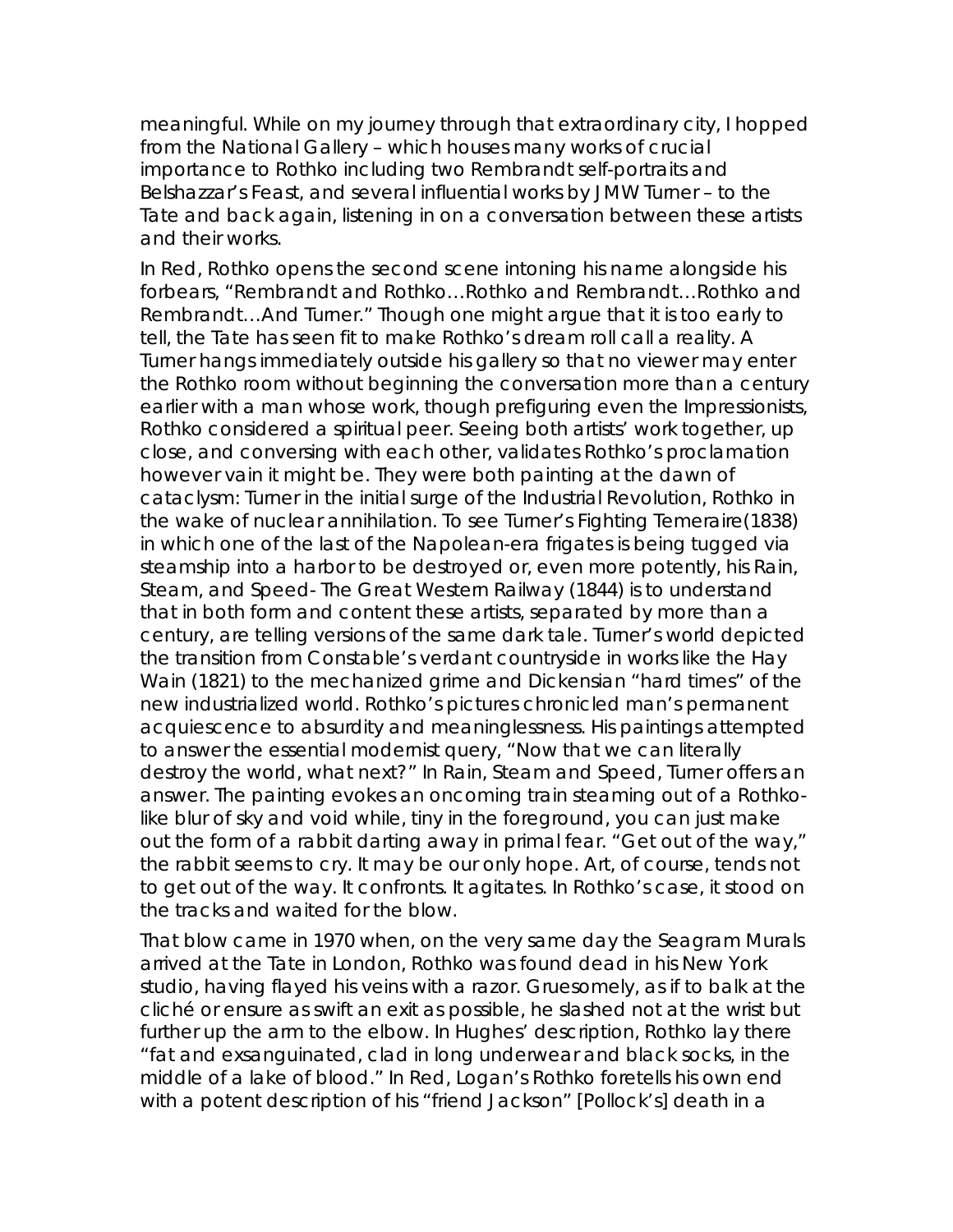meaningful. While on my journey through that extraordinary city, I hopped from the National Gallery – which houses many works of crucial importance to Rothko including two Rembrandt self-portraits and *Belshazzar's Feast,* and several influential works by JMW Turner – to the Tate and back again, listening in on a conversation between these artists and their works.

In *Red*, Rothko opens the second scene intoning his name alongside his forbears, "Rembrandt and Rothko…Rothko and Rembrandt…Rothko and Rembrandt…And Turner." Though one might argue that it is too early to tell, the Tate has seen fit to make Rothko's dream roll call a reality. A Turner hangs immediately outside his gallery so that no viewer may enter the Rothko room without beginning the conversation more than a century earlier with a man whose work, though prefiguring even the Impressionists, Rothko considered a spiritual peer. Seeing both artists' work together, up close, and conversing with each other, validates Rothko's proclamation however vain it might be. They were both painting at the dawn of cataclysm: Turner in the initial surge of the Industrial Revolution, Rothko in the wake of nuclear annihilation. To see Turner's *Fighting Temeraire*(1838) in which one of the last of the Napolean-era frigates is being tugged via steamship into a harbor to be destroyed or, even more potently, his *Rain, Steam, and Speed- The Great Western Railway* (1844) is to understand that in both form and content these artists, separated by more than a century, are telling versions of the same dark tale. Turner's world depicted the transition from Constable's verdant countryside in works like the *Hay Wain* (1821) to the mechanized grime and Dickensian "hard times" of the new industrialized world. Rothko's pictures chronicled man's permanent acquiescence to absurdity and meaninglessness. His paintings attempted to answer the essential modernist query, "Now that we can literally destroy the world, what next?" In *Rain, Steam and Speed*, Turner offers an answer. The painting evokes an oncoming train steaming out of a Rothkolike blur of sky and void while, tiny in the foreground, you can just make out the form of a rabbit darting away in primal fear. "Get out of the way," the rabbit seems to cry. It may be our only hope. Art, of course, tends not to get out of the way. It confronts. It agitates. In Rothko's case, it stood on the tracks and waited for the blow.

That blow came in 1970 when, on the very same day the Seagram Murals arrived at the Tate in London, Rothko was found dead in his New York studio, having flayed his veins with a razor. Gruesomely, as if to balk at the cliché or ensure as swift an exit as possible, he slashed not at the wrist but further up the arm to the elbow. In Hughes' description, Rothko lay there "fat and exsanguinated, clad in long underwear and black socks, in the middle of a lake of blood." In *Red*, Logan's Rothko foretells his own end with a potent description of his "friend Jackson" [Pollock's] death in a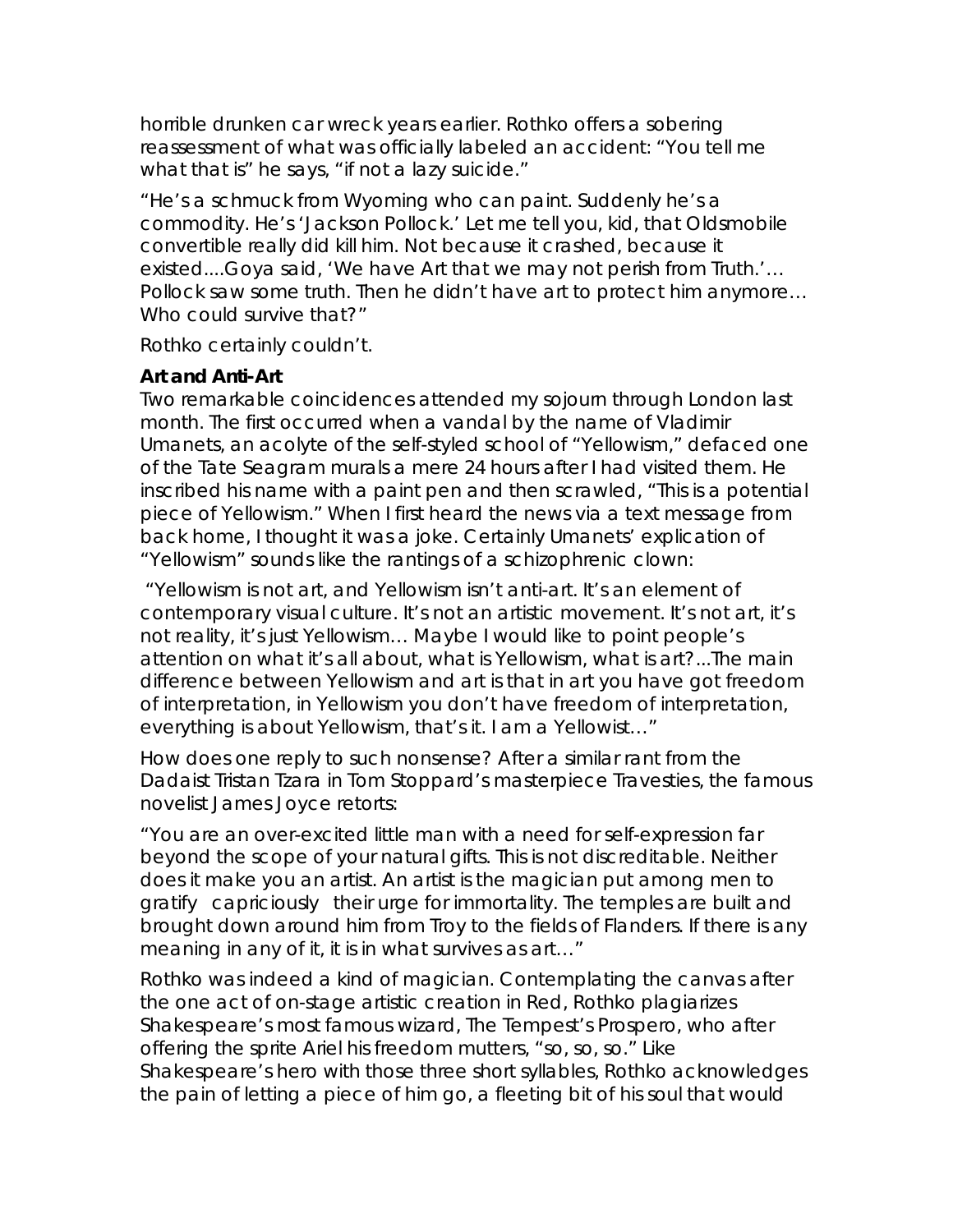horrible drunken car wreck years earlier. Rothko offers a sobering reassessment of what was officially labeled an accident: "You tell me what that is" he says, "if not a lazy suicide."

*"He's a schmuck from Wyoming who can paint. Suddenly he's a commodity. He's 'Jackson Pollock.' Let me tell you, kid, that Oldsmobile convertible really did kill him. Not because it crashed, because it existed....Goya said, 'We have Art that we may not perish from Truth.'… Pollock saw some truth. Then he didn't have art to protect him anymore… Who could survive that?"*

Rothko certainly couldn't.

### **Art and Anti-Art**

Two remarkable coincidences attended my sojourn through London last month. The first occurred when a vandal by the name of Vladimir Umanets, an acolyte of the self-styled school of "Yellowism," defaced one of the Tate Seagram murals a mere 24 hours after I had visited them. He inscribed his name with a paint pen and then scrawled, "This is a potential piece of Yellowism." When I first heard the news via a text message from back home, I thought it was a joke. Certainly Umanets' explication of "Yellowism" sounds like the rantings of a schizophrenic clown:

*"Yellowism is not art, and Yellowism isn't anti-art. It's an element of contemporary visual culture. It's not an artistic movement. It's not art, it's not reality, it's just Yellowism… Maybe I would like to point people's attention on what it's all about, what is Yellowism, what is art?...The main difference between Yellowism and art is that in art you have got freedom of interpretation, in Yellowism you don't have freedom of interpretation, everything is about Yellowism, that's it. I am a Yellowist…"*

How does one reply to such nonsense? After a similar rant from the Dadaist Tristan Tzara in Tom Stoppard's masterpiece *Travesties*, the famous novelist James Joyce retorts:

*"You are an over-excited little man with a need for self-expression far beyond the scope of your natural gifts. This is not discreditable. Neither does it make you an artist. An artist is the magician put among men to gratifycapriciouslytheir urge for immortality. The temples are built and brought down around him from Troy to the fields of Flanders. If there is any meaning in any of it, it is in what survives as art…"*

Rothko was indeed a kind of magician. Contemplating the canvas after the one act of on-stage artistic creation in *Red*, Rothko plagiarizes Shakespeare's most famous wizard, *The Tempest's* Prospero, who after offering the sprite Ariel his freedom mutters, "so, so, so." Like Shakespeare's hero with those three short syllables, Rothko acknowledges the pain of letting a piece of him go, a fleeting bit of his soul that would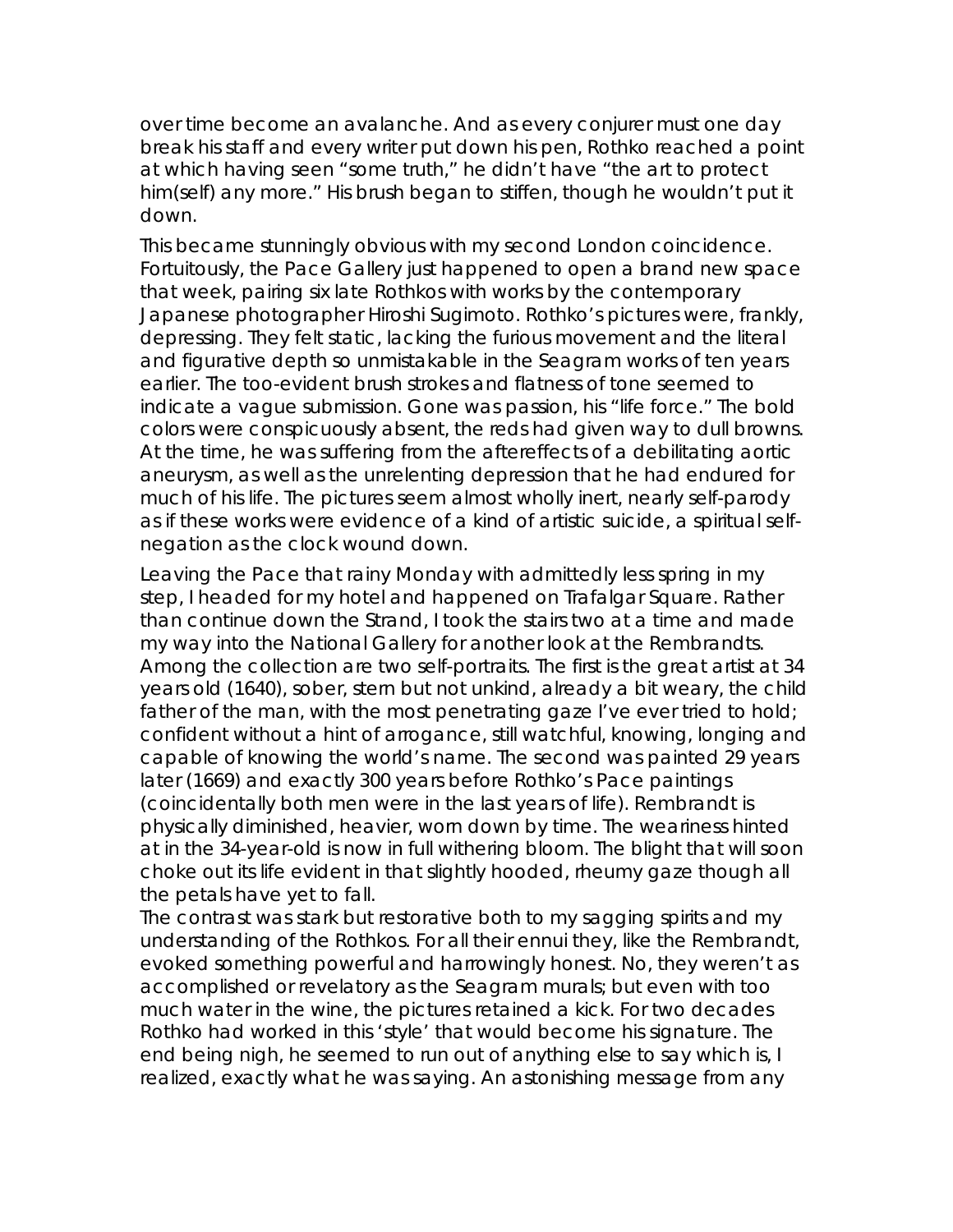over time become an avalanche. And as every conjurer must one day break his staff and every writer put down his pen, Rothko reached a point at which having seen "some truth," he didn't have "the art to protect him(self) any more." His brush began to stiffen, though he wouldn't put it down.

This became stunningly obvious with my second London coincidence. Fortuitously, the Pace Gallery just happened to open a brand new space that week, pairing six late Rothkos with works by the contemporary Japanese photographer Hiroshi Sugimoto. Rothko's pictures were, frankly, depressing. They felt static, lacking the furious movement and the literal and figurative depth so unmistakable in the Seagram works of ten years earlier. The too-evident brush strokes and flatness of tone seemed to indicate a vague submission. Gone was passion, his "life force." The bold colors were conspicuously absent, the reds had given way to dull browns. At the time, he was suffering from the aftereffects of a debilitating aortic aneurysm, as well as the unrelenting depression that he had endured for much of his life. The pictures seem almost wholly inert, nearly self-parody as if these works were evidence of a kind of artistic suicide, a spiritual selfnegation as the clock wound down.

Leaving the Pace that rainy Monday with admittedly less spring in my step, I headed for my hotel and happened on Trafalgar Square. Rather than continue down the Strand, I took the stairs two at a time and made my way into the National Gallery for another look at the Rembrandts. Among the collection are two self-portraits. The first is the great artist at 34 years old (1640), sober, stern but not unkind, already a bit weary, the child father of the man, with the most penetrating gaze I've ever tried to hold; confident without a hint of arrogance, still watchful, knowing, longing and capable of knowing the world's name. The second was painted 29 years later (1669) and exactly 300 years before Rothko's Pace paintings (coincidentally both men were in the last years of life). Rembrandt is physically diminished, heavier, worn down by time. The weariness hinted at in the 34-year-old is now in full withering bloom. The blight that will soon choke out its life evident in that slightly hooded, rheumy gaze though all the petals have yet to fall.

The contrast was stark but restorative both to my sagging spirits and my understanding of the Rothkos. For all their ennui they, like the Rembrandt, evoked something powerful and harrowingly honest. No, they weren't as accomplished or revelatory as the Seagram murals; but even with too much water in the wine, the pictures retained a kick. For two decades Rothko had worked in this 'style' that would become his signature. The end being nigh, he seemed to run out of anything else to say which is, I realized, *exactly what he was saying*. An astonishing message from any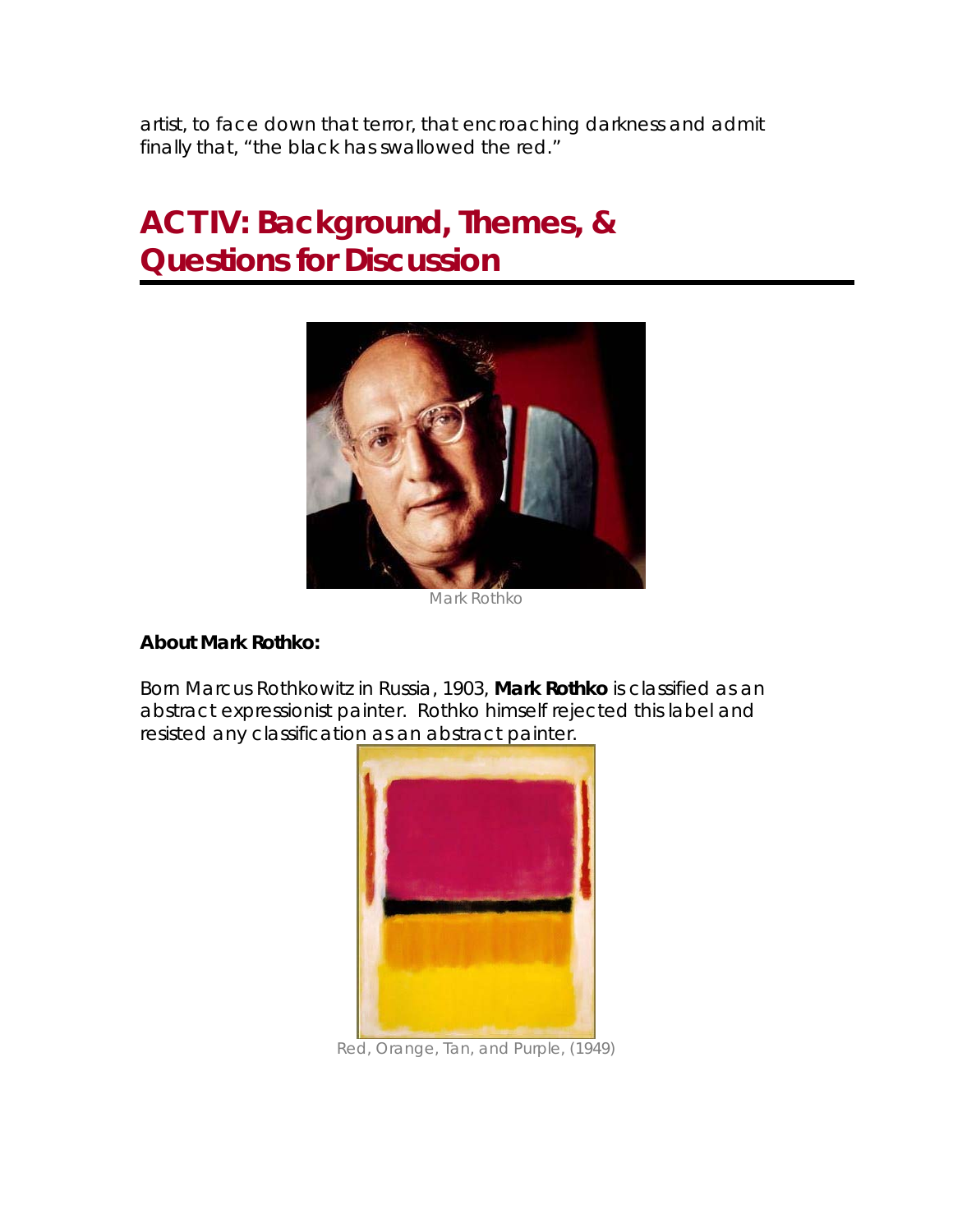artist, to face down that terror, that encroaching darkness and admit finally that, "the black has swallowed the red."

## **ACT IV: Background, Themes, & Questions for Discussion**



*Mark Rothko* 

#### **About Mark Rothko:**

Born Marcus Rothkowitz in Russia, 1903, **Mark Rothko** is classified as an abstract expressionist painter. Rothko himself rejected this label and resisted any classification as an abstract painter.



*Red, Orange, Tan, and Purple, (1949)*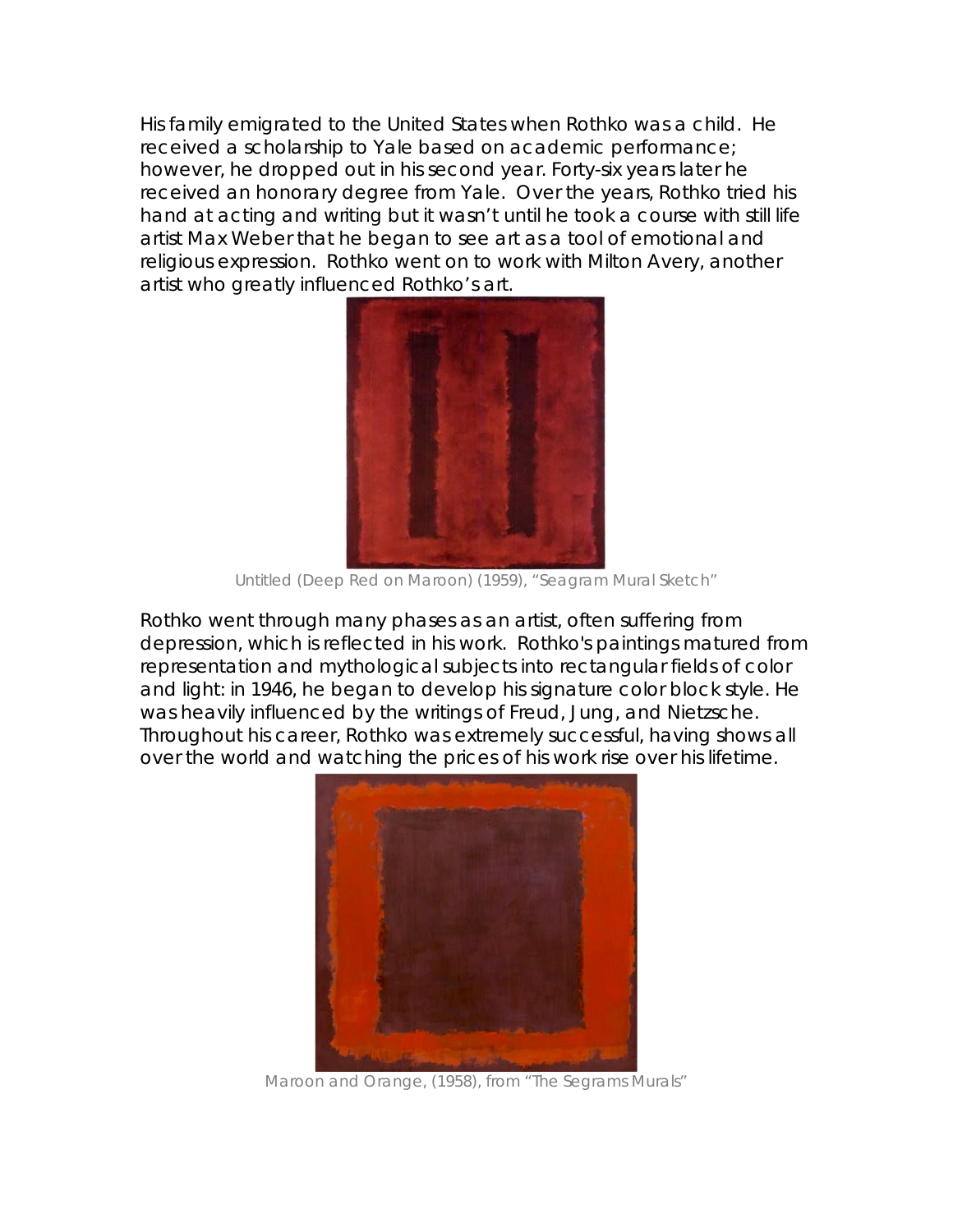His family emigrated to the United States when Rothko was a child. He received a scholarship to Yale based on academic performance; however, he dropped out in his second year. Forty-six years later he received an honorary degree from Yale. Over the years, Rothko tried his hand at acting and writing but it wasn't until he took a course with still life artist Max Weber that he began to see art as a tool of emotional and religious expression. Rothko went on to work with Milton Avery, another artist who greatly influenced Rothko's art.



*Untitled (Deep Red on Maroon) (1959), "Seagram Mural Sketch"* 

Rothko went through many phases as an artist, often suffering from depression, which is reflected in his work. Rothko's paintings matured from representation and mythological subjects into rectangular fields of color and light: in 1946, he began to develop his signature color block style. He was heavily influenced by the writings of Freud, Jung, and Nietzsche. Throughout his career, Rothko was extremely successful, having shows all over the world and watching the prices of his work rise over his lifetime.



*Maroon and Orange, (1958), from "The Segrams Murals"*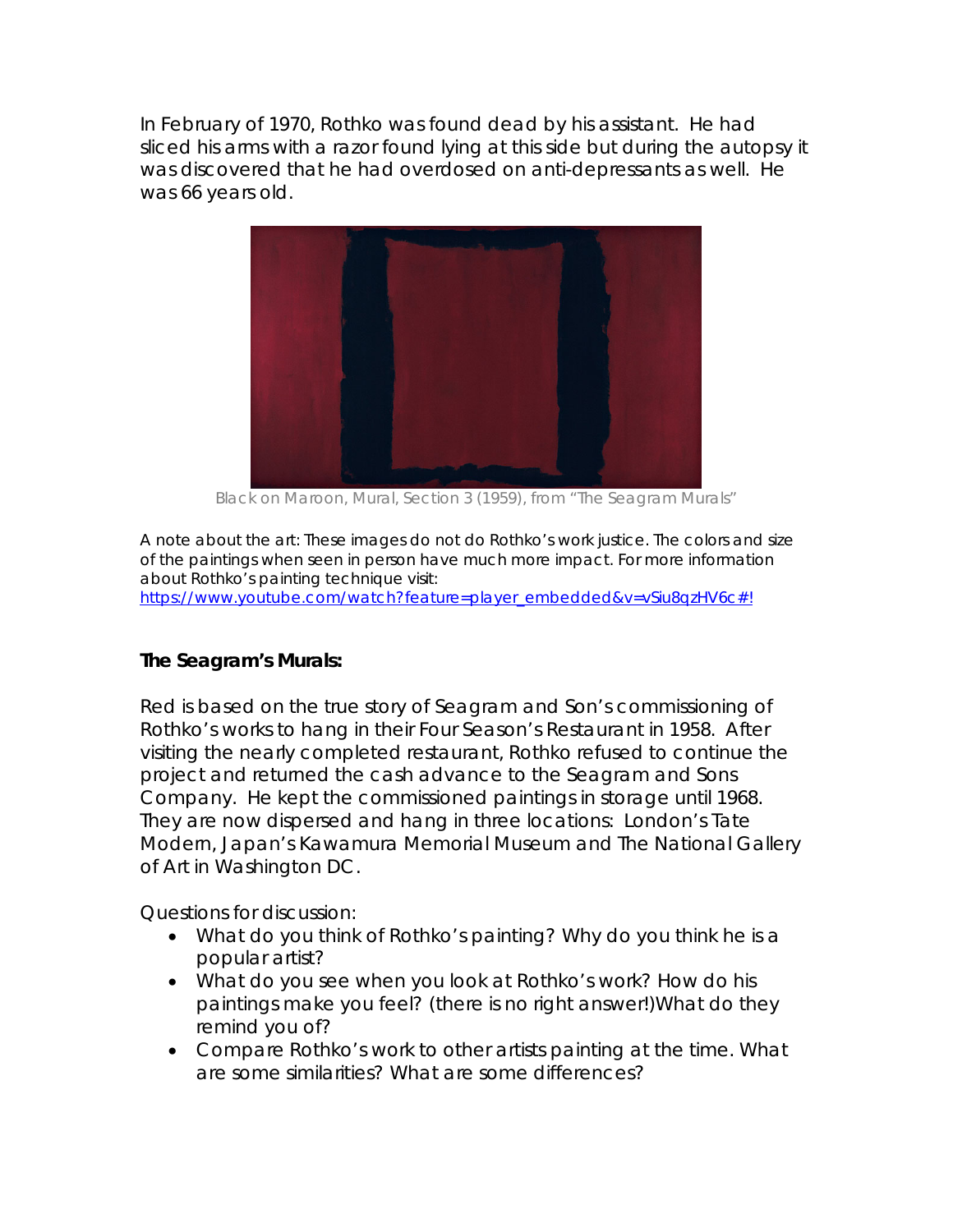In February of 1970, Rothko was found dead by his assistant. He had sliced his arms with a razor found lying at this side but during the autopsy it was discovered that he had overdosed on anti-depressants as well. He was 66 years old.



*Black on Maroon, Mural, Section 3* (1959), *from "The Seagram Murals"*

*A note about the art: These images do not do Rothko's work justice. The colors and size of the paintings when seen in person have much more impact. For more information about Rothko's painting technique visit:*  https://www.youtube.com/watch?feature=player\_embedded&v=vSiu8qzHV6c#!

### **The Seagram's Murals:**

*Red* is based on the true story of Seagram and Son's commissioning of Rothko's works to hang in their Four Season's Restaurant in 1958. After visiting the nearly completed restaurant, Rothko refused to continue the project and returned the cash advance to the Seagram and Sons Company. He kept the commissioned paintings in storage until 1968. They are now dispersed and hang in three locations: London's Tate Modern, Japan's Kawamura Memorial Museum and The National Gallery of Art in Washington DC.

*Questions for discussion:* 

- What do you think of Rothko's painting? Why do you think he is a *popular artist?*
- *What do you see when you look at Rothko's work? How do his paintings make you feel? (there is no right answer!)What do they remind you of?*
- *Compare Rothko's work to other artists painting at the time. What are some similarities? What are some differences?*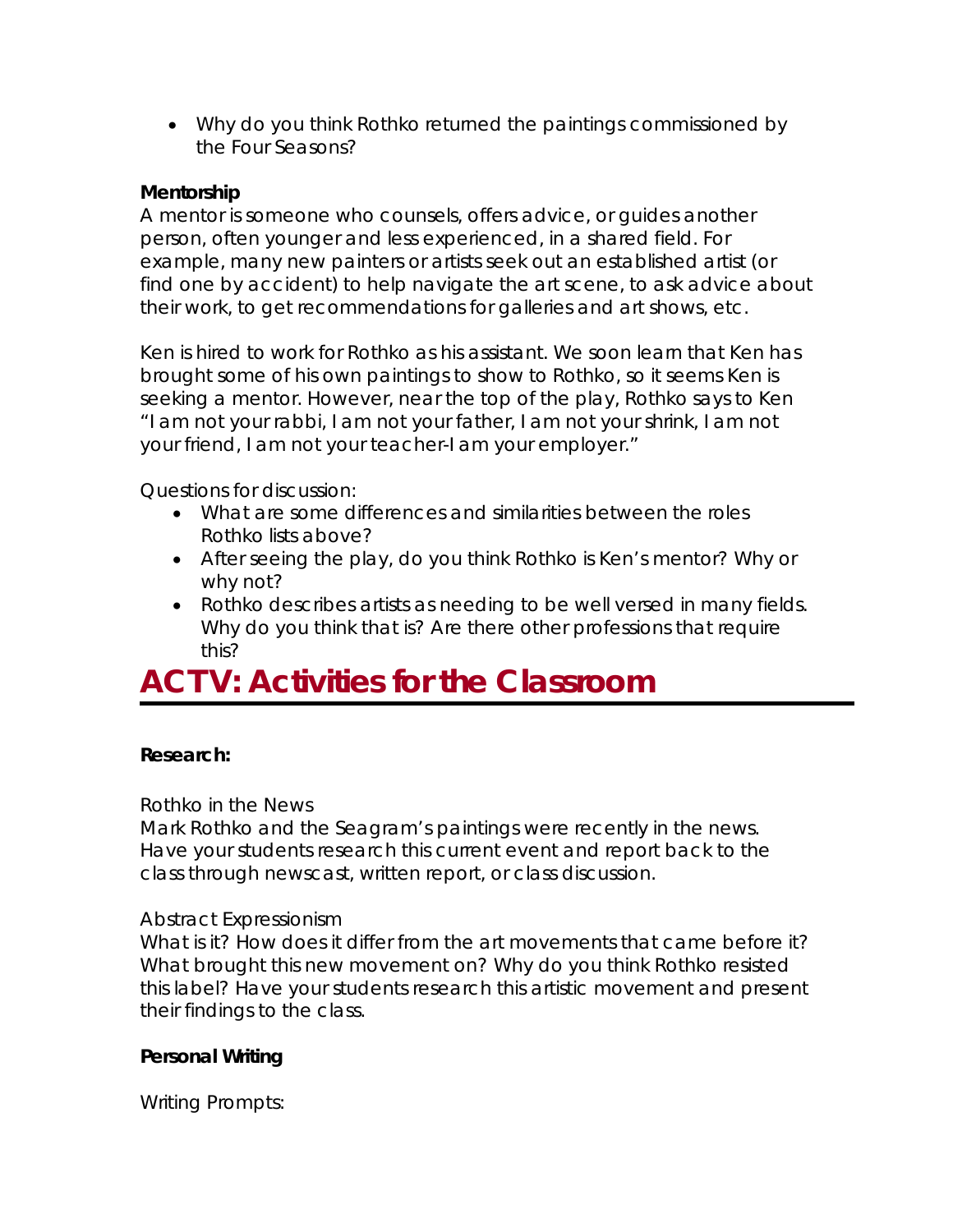• *Why do you think Rothko returned the paintings commissioned by the Four Seasons?* 

### **Mentorship**

A mentor is someone who counsels, offers advice, or guides another person, often younger and less experienced, in a shared field. For example, many new painters or artists seek out an established artist (or find one by accident) to help navigate the art scene, to ask advice about their work, to get recommendations for galleries and art shows, etc.

Ken is hired to work for Rothko as his assistant. We soon learn that Ken has brought some of his own paintings to show to Rothko, so it seems Ken is seeking a mentor. However, near the top of the play, Rothko says to Ken *"I am not your rabbi, I am not your father, I am not your shrink, I am not your friend, I am not your teacher-I am your employer."*

### *Questions for discussion:*

- *What are some differences and similarities between the roles Rothko lists above?*
- *After seeing the play, do you think Rothko is Ken's mentor? Why or why not?*
- *Rothko describes artists as needing to be well versed in many fields. Why do you think that is? Are there other professions that require this?*

### **ACT V: Activities for the Classroom**

### **Research:**

### *Rothko in the News*

Mark Rothko and the Seagram's paintings were recently in the news. Have your students research this current event and report back to the class through newscast, written report, or class discussion.

### *Abstract Expressionism*

What is it? How does it differ from the art movements that came before it? What brought this new movement on? Why do you think Rothko resisted this label? Have your students research this artistic movement and present their findings to the class.

### **Personal Writing**

*Writing Prompts:*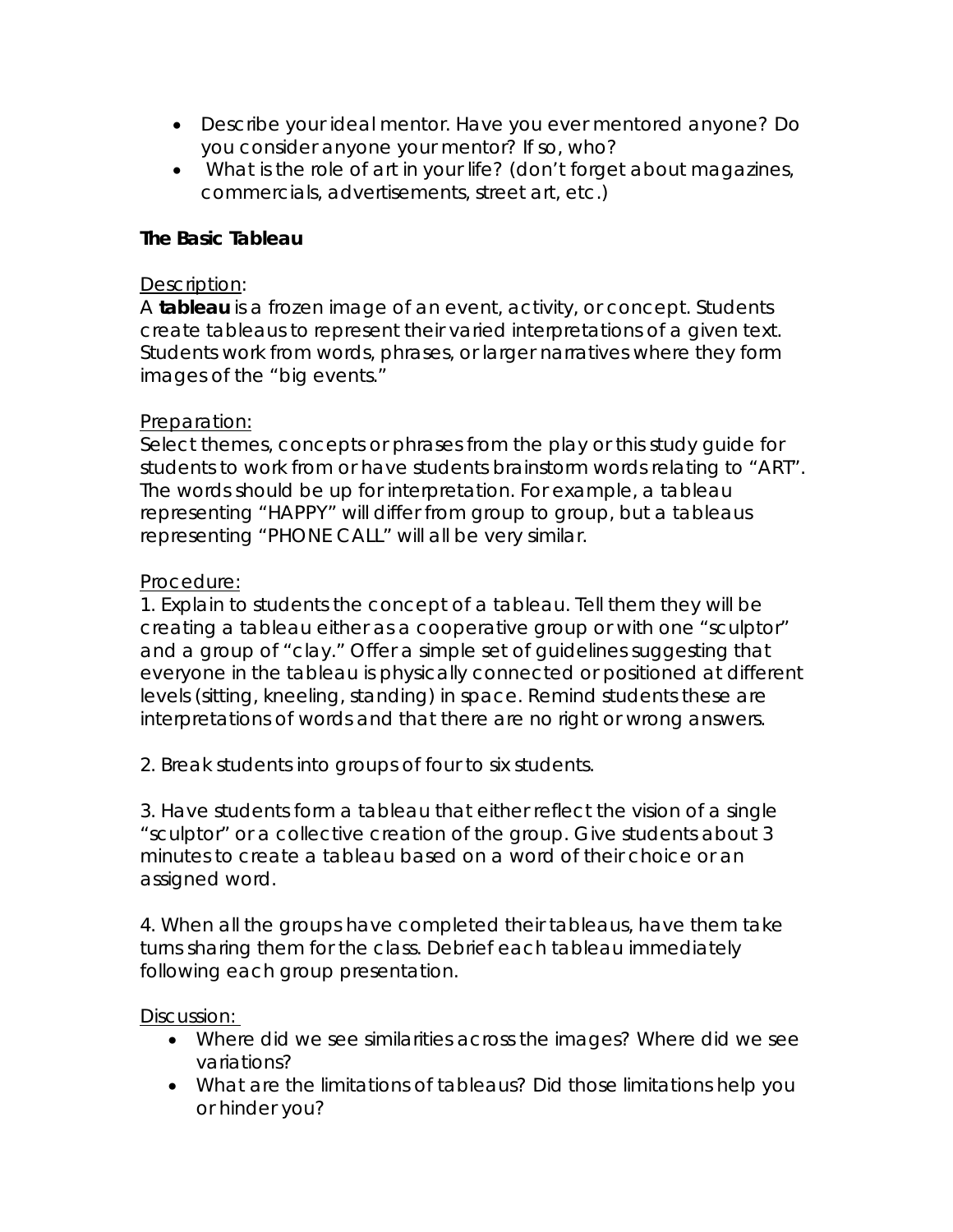- *Describe your ideal mentor. Have you ever mentored anyone? Do you consider anyone your mentor? If so, who?*
- • *What is the role of art in your life? (don't forget about magazines, commercials, advertisements, street art, etc.)*

### **The Basic Tableau**

### Description*:*

A **tableau** is a frozen image of an event, activity, or concept. Students create tableaus to represent their varied interpretations of a given text. Students work from words, phrases, or larger narratives where they form images of the "big events."

### Preparation:

Select themes, concepts or phrases from the play or this study guide for students to work from or have students brainstorm words relating to "ART". The words should be up for interpretation. For example, a tableau representing "HAPPY" will differ from group to group, but a tableaus representing "PHONE CALL" will all be very similar.

### Procedure:

1. Explain to students the concept of a tableau. Tell them they will be creating a tableau either as a cooperative group or with one "sculptor" and a group of "clay." Offer a simple set of guidelines suggesting that everyone in the tableau is physically connected or positioned at different levels (sitting, kneeling, standing) in space. Remind students these are interpretations of words and that there are no right or wrong answers.

2. Break students into groups of four to six students.

3. Have students form a tableau that either reflect the vision of a single "sculptor" or a collective creation of the group. Give students about 3 minutes to create a tableau based on a word of their choice or an assigned word.

4. When all the groups have completed their tableaus, have them take turns sharing them for the class. Debrief each tableau immediately following each group presentation.

#### Discussion:

- *Where did we see similarities across the images? Where did we see variations?*
- *What are the limitations of tableaus? Did those limitations help you or hinder you?*